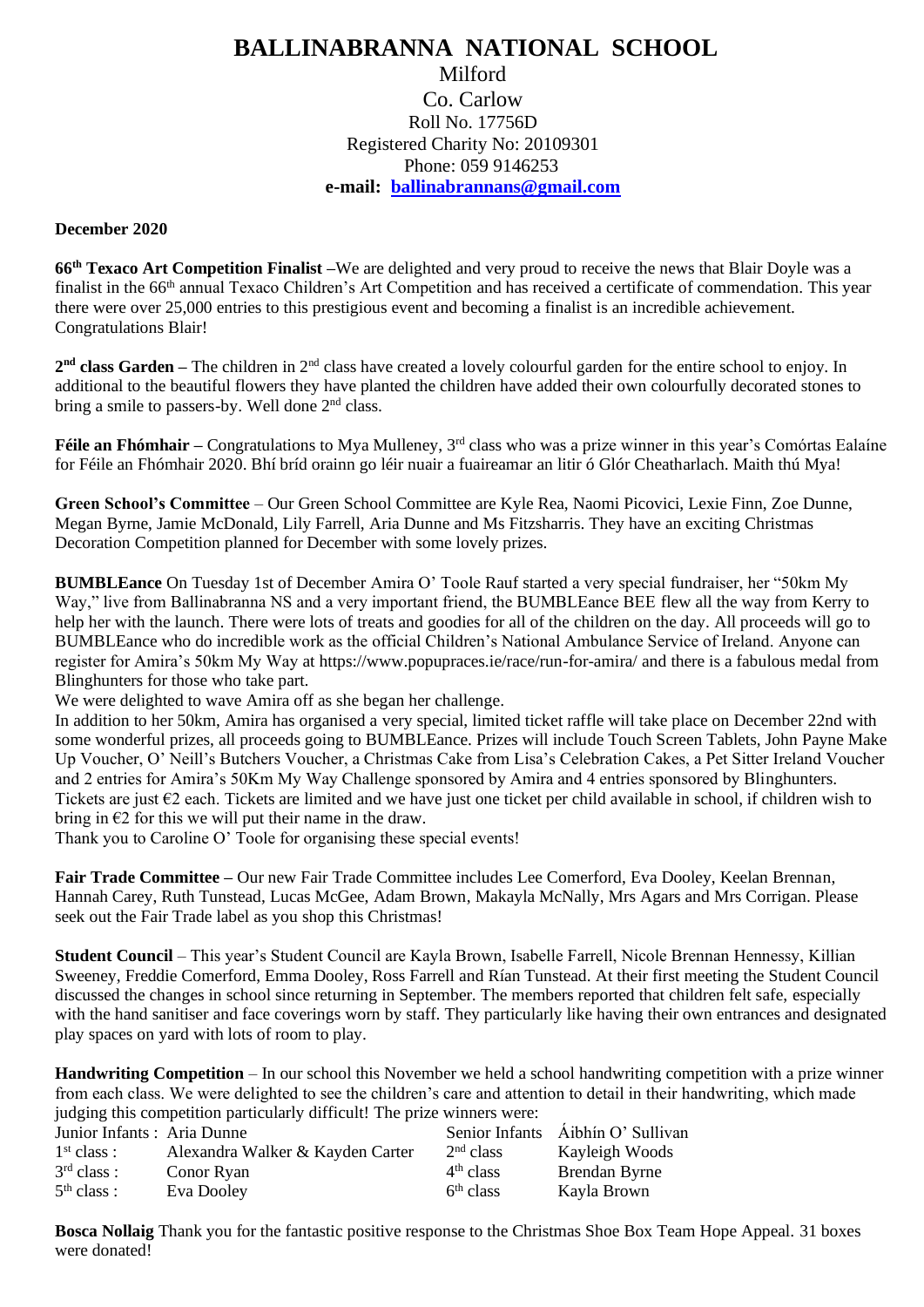## **BALLINABRANNA NATIONAL SCHOOL** Milford Co. Carlow Roll No. 17756D Registered Charity No: 20109301 Phone: 059 9146253 **e-mail: [ballinabrannans@gmail.com](mailto:ballinabrannans@gmail.com)**

## **December 2020**

**66th Texaco Art Competition Finalist –**We are delighted and very proud to receive the news that Blair Doyle was a finalist in the 66<sup>th</sup> annual Texaco Children's Art Competition and has received a certificate of commendation. This year there were over 25,000 entries to this prestigious event and becoming a finalist is an incredible achievement. Congratulations Blair!

2<sup>nd</sup> class Garden – The children in 2<sup>nd</sup> class have created a lovely colourful garden for the entire school to enjoy. In additional to the beautiful flowers they have planted the children have added their own colourfully decorated stones to bring a smile to passers-by. Well done  $2<sup>nd</sup>$  class.

**Féile an Fhómhair** – Congratulations to Mya Mulleney, 3<sup>rd</sup> class who was a prize winner in this year's Comórtas Ealaíne for Féile an Fhómhair 2020. Bhí bríd orainn go léir nuair a fuaireamar an litir ó Glór Cheatharlach. Maith thú Mya!

**Green School's Committee** – Our Green School Committee are Kyle Rea, Naomi Picovici, Lexie Finn, Zoe Dunne, Megan Byrne, Jamie McDonald, Lily Farrell, Aria Dunne and Ms Fitzsharris. They have an exciting Christmas Decoration Competition planned for December with some lovely prizes.

**BUMBLEance** On Tuesday 1st of December Amira O' Toole Rauf started a very special fundraiser, her "50km My Way," live from Ballinabranna NS and a very important friend, the BUMBLEance BEE flew all the way from Kerry to help her with the launch. There were lots of treats and goodies for all of the children on the day. All proceeds will go to BUMBLEance who do incredible work as the official Children's National Ambulance Service of Ireland. Anyone can register for Amira's 50km My Way at https://www.popupraces.ie/race/run-for-amira/ and there is a fabulous medal from Blinghunters for those who take part.

We were delighted to wave Amira off as she began her challenge.

In addition to her 50km, Amira has organised a very special, limited ticket raffle will take place on December 22nd with some wonderful prizes, all proceeds going to BUMBLEance. Prizes will include Touch Screen Tablets, John Payne Make Up Voucher, O' Neill's Butchers Voucher, a Christmas Cake from Lisa's Celebration Cakes, a Pet Sitter Ireland Voucher and 2 entries for Amira's 50Km My Way Challenge sponsored by Amira and 4 entries sponsored by Blinghunters. Tickets are just €2 each. Tickets are limited and we have just one ticket per child available in school, if children wish to bring in  $\epsilon$ 2 for this we will put their name in the draw.

Thank you to Caroline O' Toole for organising these special events!

**Fair Trade Committee –** Our new Fair Trade Committee includes Lee Comerford, Eva Dooley, Keelan Brennan, Hannah Carey, Ruth Tunstead, Lucas McGee, Adam Brown, Makayla McNally, Mrs Agars and Mrs Corrigan. Please seek out the Fair Trade label as you shop this Christmas!

**Student Council** – This year's Student Council are Kayla Brown, Isabelle Farrell, Nicole Brennan Hennessy, Killian Sweeney, Freddie Comerford, Emma Dooley, Ross Farrell and Rían Tunstead. At their first meeting the Student Council discussed the changes in school since returning in September. The members reported that children felt safe, especially with the hand sanitiser and face coverings worn by staff. They particularly like having their own entrances and designated play spaces on yard with lots of room to play.

**Handwriting Competition** – In our school this November we held a school handwriting competition with a prize winner from each class. We were delighted to see the children's care and attention to detail in their handwriting, which made judging this competition particularly difficult! The prize winners were:

| Junior Infants : Aria Dunne |                                  |                       | Senior Infants Aibhín O' Sullivan |
|-----------------------------|----------------------------------|-----------------------|-----------------------------------|
| 1 <sup>st</sup> class :     | Alexandra Walker & Kayden Carter | $2nd$ class           | Kayleigh Woods                    |
| 3 <sup>rd</sup> class :     | Conor Ryan                       | $4th$ class           | Brendan Byrne                     |
| 5 <sup>th</sup> class :     | Eva Dooley                       | 6 <sup>th</sup> class | Kayla Brown                       |

**Bosca Nollaig** Thank you for the fantastic positive response to the Christmas Shoe Box Team Hope Appeal. 31 boxes were donated!